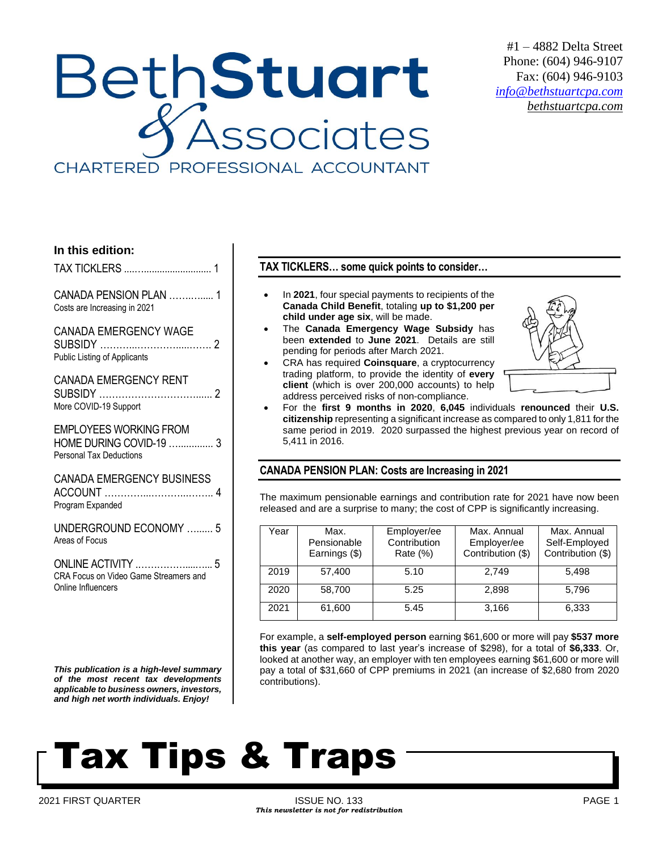## BethStuart **SSOCiates** CHARTERED PROFESSIONAL ACCOUNTANT

#1 – 4882 Delta Street Phone: (604) 946-9107 Fax: (604) 946-9103 *[info@bethstuartcpa.com](mailto:info@bethstuartcpa.com) bethstuartcpa.com*

## **In this edition:**

TAX TICKLERS ....….......................... 1

CANADA PENSION PLAN …….…..... 1 Costs are Increasing in 2021

### CANADA EMERGENCY WAGE

SUBSIDY ………...………….....……. 2 Public Listing of Applicants

## CANADA EMERGENCY RENT

| More COVID-19 Support |  |
|-----------------------|--|

EMPLOYEES WORKING FROM HOME DURING COVID-19 …............. 3

Personal Tax Deductions

CANADA EMERGENCY BUSINESS ACCOUNT …………...………...…….. 4 Program Expanded

UNDERGROUND ECONOMY …...... 5 Areas of Focus

ONLINE ACTIVITY .……………....…... 5 CRA Focus on Video Game Streamers and Online Influencers

*This publication is a high-level summary of the most recent tax developments applicable to business owners, investors, and high net worth individuals. Enjoy!*

## **TAX TICKLERS… some quick points to consider…**

- In **2021**, four special payments to recipients of the **Canada Child Benefit**, totaling **up to \$1,200 per child under age six**, will be made.
- The **Canada Emergency Wage Subsidy** has been **extended** to **June 2021**. Details are still pending for periods after March 2021.
- CRA has required **Coinsquare**, a cryptocurrency trading platform, to provide the identity of **every client** (which is over 200,000 accounts) to help address perceived risks of non-compliance.



• For the **first 9 months in 2020**, **6,045** individuals **renounced** their **U.S. citizenship** representing a significant increase as compared to only 1,811 for the same period in 2019. 2020 surpassed the highest previous year on record of 5,411 in 2016.

## **CANADA PENSION PLAN: Costs are Increasing in 2021**

The maximum pensionable earnings and contribution rate for 2021 have now been released and are a surprise to many; the cost of CPP is significantly increasing.

| ′ear | Max.<br>Pensionable<br>Earnings (\$) | Employer/ee<br>Contribution<br>Rate (%) | Max. Annual<br>Employer/ee<br>Contribution (\$) | Max. Annual<br>Self-Employed<br>Contribution (\$) |
|------|--------------------------------------|-----------------------------------------|-------------------------------------------------|---------------------------------------------------|
| 2019 | 57,400                               | 5.10                                    | 2.749                                           | 5,498                                             |
| 2020 | 58,700                               | 5.25                                    | 2.898                                           | 5,796                                             |
| 2021 | 61,600                               | 5.45                                    | 3.166                                           | 6,333                                             |

For example, a **self-employed person** earning \$61,600 or more will pay **\$537 more this year** (as compared to last year's increase of \$298), for a total of **\$6,333**. Or, looked at another way, an employer with ten employees earning \$61,600 or more will pay a total of \$31,660 of CPP premiums in 2021 (an increase of \$2,680 from 2020 contributions).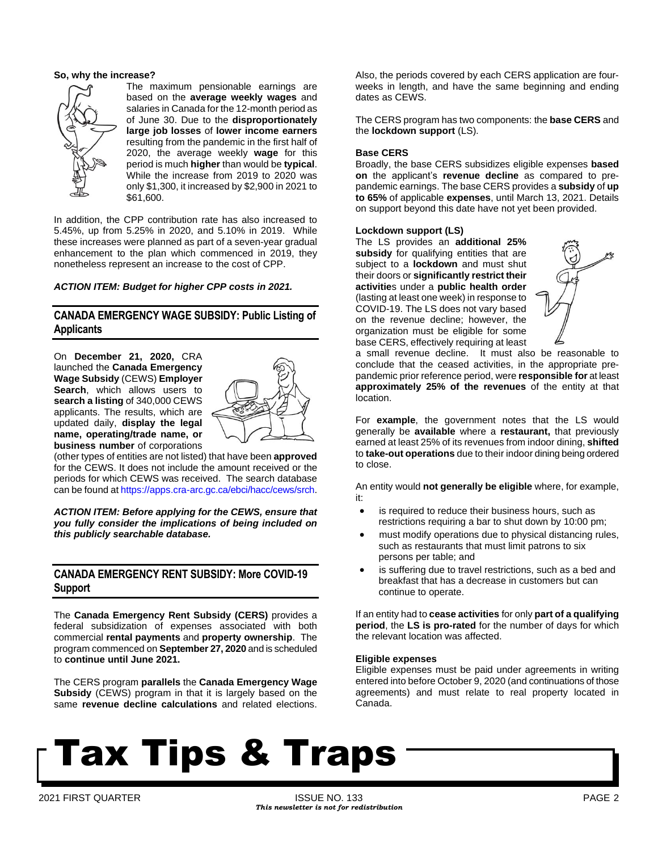#### **So, why the increase?**



The maximum pensionable earnings are based on the **average weekly wages** and salaries in Canada for the 12-month period as of June 30. Due to the **disproportionately large job losses** of **lower income earners** resulting from the pandemic in the first half of 2020, the average weekly **wage** for this period is much **higher** than would be **typical**. While the increase from 2019 to 2020 was only \$1,300, it increased by \$2,900 in 2021 to \$61,600.

In addition, the CPP contribution rate has also increased to 5.45%, up from 5.25% in 2020, and 5.10% in 2019. While these increases were planned as part of a seven-year gradual enhancement to the plan which commenced in 2019, they nonetheless represent an increase to the cost of CPP.

### *ACTION ITEM: Budget for higher CPP costs in 2021.*

## **CANADA EMERGENCY WAGE SUBSIDY: Public Listing of Applicants**

On **December 21, 2020,** CRA launched the **Canada Emergency Wage Subsidy** (CEWS) **Employer Search**, which allows users to **search a listing** of 340,000 CEWS applicants. The results, which are updated daily, **display the legal name, operating/trade name, or business number** of corporations



(other types of entities are not listed) that have been **approved** for the CEWS. It does not include the amount received or the periods for which CEWS was received. The search database can be found at [https://apps.cra-arc.gc.ca/ebci/hacc/cews/srch.](https://apps.cra-arc.gc.ca/ebci/hacc/cews/srch)

*ACTION ITEM: Before applying for the CEWS, ensure that you fully consider the implications of being included on this publicly searchable database.*

## **CANADA EMERGENCY RENT SUBSIDY: More COVID-19 Support**

The **Canada Emergency Rent Subsidy (CERS)** provides a federal subsidization of expenses associated with both commercial **rental payments** and **property ownership**. The program commenced on **September 27, 2020** and is scheduled to **continue until June 2021.**

The CERS program **parallels** the **Canada Emergency Wage Subsidy** (CEWS) program in that it is largely based on the same **revenue decline calculations** and related elections.

Also, the periods covered by each CERS application are fourweeks in length, and have the same beginning and ending dates as CEWS.

The CERS program has two components: the **base CERS** and the **lockdown support** (LS).

#### **Base CERS**

Broadly, the base CERS subsidizes eligible expenses **based on** the applicant's **revenue decline** as compared to prepandemic earnings. The base CERS provides a **subsidy** of **up to 65%** of applicable **expenses**, until March 13, 2021. Details on support beyond this date have not yet been provided.

#### **Lockdown support (LS)**

The LS provides an **additional 25%** subsidy for qualifying entities that are subject to a **lockdown** and must shut their doors or **significantly restrict their activitie**s under a **public health order** (lasting at least one week) in response to COVID-19. The LS does not vary based on the revenue decline; however, the organization must be eligible for some base CERS, effectively requiring at least



a small revenue decline. It must also be reasonable to conclude that the ceased activities, in the appropriate prepandemic prior reference period, were **responsible for** at least **approximately 25% of the revenues** of the entity at that location.

For **example**, the government notes that the LS would generally be **available** where a **restaurant,** that previously earned at least 25% of its revenues from indoor dining, **shifted** to **take-out operations** due to their indoor dining being ordered to close.

An entity would **not generally be eligible** where, for example, it:

- is required to reduce their business hours, such as restrictions requiring a bar to shut down by 10:00 pm;
- must modify operations due to physical distancing rules, such as restaurants that must limit patrons to six persons per table; and
- is suffering due to travel restrictions, such as a bed and breakfast that has a decrease in customers but can continue to operate.

If an entity had to **cease activities** for only **part of a qualifying period**, the **LS is pro-rated** for the number of days for which the relevant location was affected.

#### **Eligible expenses**

Eligible expenses must be paid under agreements in writing entered into before October 9, 2020 (and continuations of those agreements) and must relate to real property located in Canada.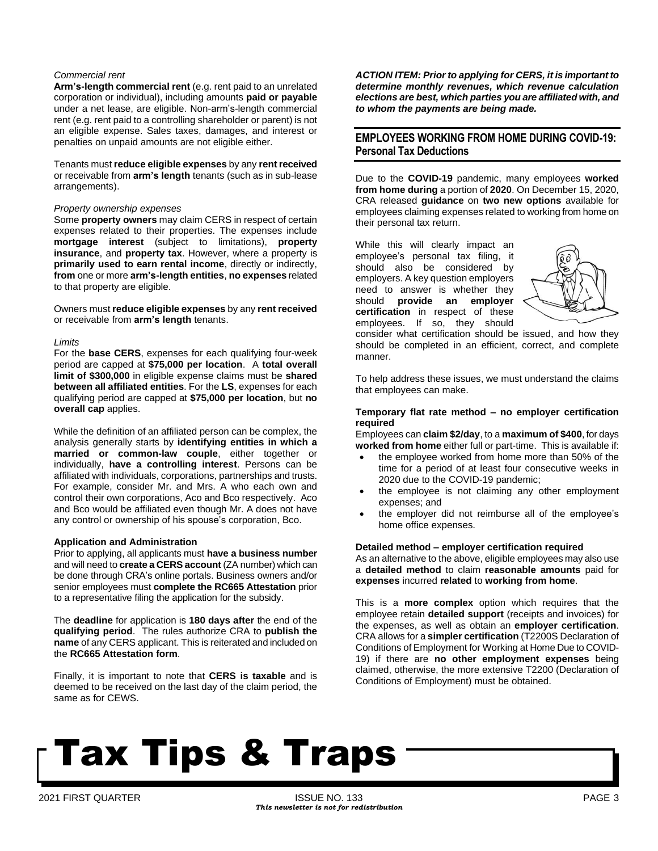#### *Commercial rent*

**Arm's-length commercial rent** (e.g. rent paid to an unrelated corporation or individual), including amounts **paid or payable** under a net lease, are eligible. Non-arm's-length commercial rent (e.g. rent paid to a controlling shareholder or parent) is not an eligible expense. Sales taxes, damages, and interest or penalties on unpaid amounts are not eligible either.

Tenants must **reduce eligible expenses** by any **rentreceived** or receivable from **arm's length** tenants (such as in sub-lease arrangements).

#### *Property ownership expenses*

Some **property owners** may claim CERS in respect of certain expenses related to their properties. The expenses include **mortgage interest** (subject to limitations), **property insurance**, and **property tax**. However, where a property is **primarily used to earn rental income**, directly or indirectly, **from** one or more **arm's-length entities**, **no expenses** related to that property are eligible.

Owners must **reduce eligible expenses** by any **rent received** or receivable from **arm's length** tenants.

#### *Limits*

For the **base CERS**, expenses for each qualifying four-week period are capped at **\$75,000 per location**. A **total overall limit of \$300,000** in eligible expense claims must be **shared between all affiliated entities**. For the **LS**, expenses for each qualifying period are capped at **\$75,000 per location**, but **no overall cap** applies.

While the definition of an affiliated person can be complex, the analysis generally starts by **identifying entities in which a married or common-law couple**, either together or individually, **have a controlling interest**. Persons can be affiliated with individuals, corporations, partnerships and trusts. For example, consider Mr. and Mrs. A who each own and control their own corporations, Aco and Bco respectively. Aco and Bco would be affiliated even though Mr. A does not have any control or ownership of his spouse's corporation, Bco.

#### **Application and Administration**

Prior to applying, all applicants must **have a business number** and will need to **create a CERS account** (ZA number) which can be done through CRA's online portals. Business owners and/or senior employees must **complete the RC665 Attestation** prior to a representative filing the application for the subsidy.

The **deadline** for application is **180 days after** the end of the **qualifying period**. The rules authorize CRA to **publish the name** of any CERS applicant. This is reiterated and included on the **RC665 Attestation form**.

Finally, it is important to note that **CERS is taxable** and is deemed to be received on the last day of the claim period, the same as for CEWS.

*ACTION ITEM: Prior to applying for CERS, it is important to determine monthly revenues, which revenue calculation elections are best, which parties you are affiliated with, and to whom the payments are being made.* 

## **EMPLOYEES WORKING FROM HOME DURING COVID-19: Personal Tax Deductions**

Due to the **COVID-19** pandemic, many employees **worked from home during** a portion of **2020**. On December 15, 2020, CRA released **guidance** on **two new options** available for employees claiming expenses related to working from home on their personal tax return.

While this will clearly impact an employee's personal tax filing, it should also be considered by employers. A key question employers need to answer is whether they should **provide an employer certification** in respect of these employees. If so, they should



consider what certification should be issued, and how they should be completed in an efficient, correct, and complete manner.

To help address these issues, we must understand the claims that employees can make.

#### **Temporary flat rate method – no employer certification required**

Employees can **claim \$2/day**, to a **maximum of \$400**, for days **worked from home** either full or part-time. This is available if:

- the employee worked from home more than 50% of the time for a period of at least four consecutive weeks in 2020 due to the COVID-19 pandemic;
- the employee is not claiming any other employment expenses; and
- the employer did not reimburse all of the employee's home office expenses.

#### **Detailed method – employer certification required**

As an alternative to the above, eligible employees may also use a **detailed method** to claim **reasonable amounts** paid for **expenses** incurred **related** to **working from home**.

This is a **more complex** option which requires that the employee retain **detailed support** (receipts and invoices) for the expenses, as well as obtain an **employer certification**. CRA allows for a **simpler certification** (T2200S Declaration of Conditions of Employment for Working at Home Due to COVID-19) if there are **no other employment expenses** being claimed, otherwise, the more extensive T2200 (Declaration of Conditions of Employment) must be obtained.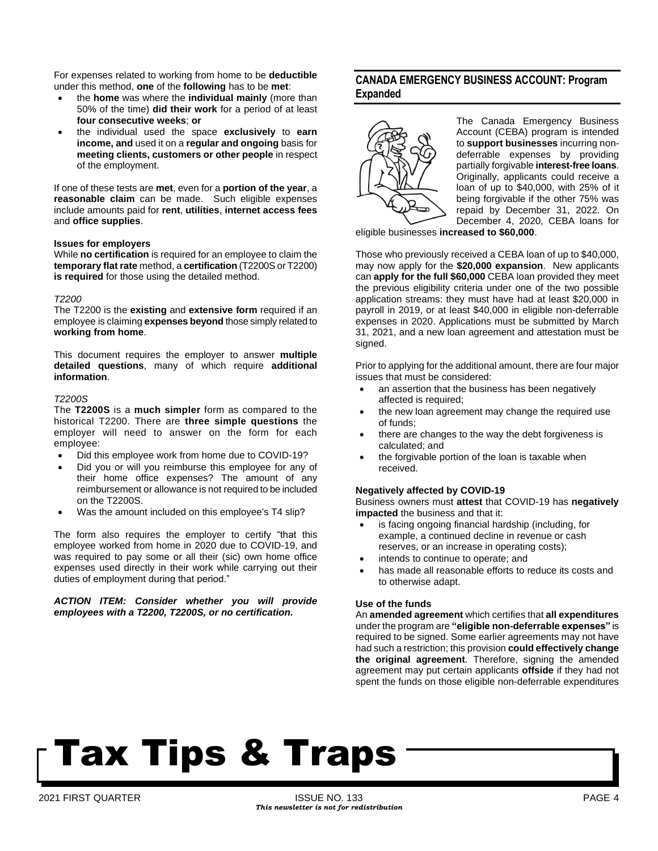For expenses related to working from home to be **deductible** under this method, **one** of the **following** has to be **met**:

- the **home** was where the **individual mainly** (more than 50% of the time) **did their work** for a period of at least **four consecutive weeks**; **or**
- the individual used the space **exclusively** to **earn income, and** used it on a **regular and ongoing** basis for **meeting clients, customers or other people** in respect of the employment.

If one of these tests are **met**, even for a **portion of the year**, a **reasonable claim** can be made. Such eligible expenses include amounts paid for **rent**, **utilities**, **internet access fees** and **office supplies**.

#### **Issues for employers**

While **no certification** is required for an employee to claim the **temporary flat rate** method, a **certification** (T2200S or T2200) **is required** for those using the detailed method.

#### *T2200*

The T2200 is the **existing** and **extensive form** required if an employee is claiming **expenses beyond** those simply related to **working from home**.

This document requires the employer to answer **multiple detailed questions**, many of which require **additional information**.

#### *T2200S*

The **T2200S** is a **much simpler** form as compared to the historical T2200. There are **three simple questions** the employer will need to answer on the form for each employee:

- Did this employee work from home due to COVID-19?
- Did you or will you reimburse this employee for any of their home office expenses? The amount of any reimbursement or allowance is not required to be included on the T2200S.
- Was the amount included on this employee's T4 slip?

The form also requires the employer to certify "that this employee worked from home in 2020 due to COVID-19, and was required to pay some or all their (sic) own home office expenses used directly in their work while carrying out their duties of employment during that period."

*ACTION ITEM: Consider whether you will provide employees with a T2200, T2200S, or no certification.*

## **CANADA EMERGENCY BUSINESS ACCOUNT: Program Expanded**



The Canada Emergency Business Account (CEBA) program is intended to **support businesses** incurring nondeferrable expenses by providing partially forgivable **interest-free loans**. Originally, applicants could receive a loan of up to \$40,000, with 25% of it being forgivable if the other 75% was repaid by December 31, 2022. On [December](https://www.canada.ca/en/department-finance/news/2020/12/government-expands-canada-emergency-business-account-loans.html) 4, 2020, CEBA loans for

eligible businesses **increased to \$60,000**.

Those who previously received a CEBA loan of up to \$40,000, may now apply for the **\$20,000 expansion**. New applicants can **apply for the full \$60,000** CEBA loan provided they meet the previous eligibility criteria under one of the two possible application streams: they must have had at least \$20,000 in payroll in 2019, or at least \$40,000 in eligible non-deferrable expenses in 2020. Applications must be submitted by March 31, 2021, and a new loan agreement and attestation must be signed.

Prior to applying for the additional amount, there are four major issues that must be considered:

- an assertion that the business has been negatively affected is required;
- the new loan agreement may change the required use of funds;
- there are changes to the way the debt forgiveness is calculated; and
- the forgivable portion of the loan is taxable when received.

#### **Negatively affected by COVID-19**

Business owners must **attest** that COVID-19 has **negatively impacted** the business and that it:

- is facing ongoing financial hardship (including, for example, a continued decline in revenue or cash reserves, or an increase in operating costs);
- intends to continue to operate; and
- has made all reasonable efforts to reduce its costs and to otherwise adapt.

#### **Use of the funds**

An **amended agreement** which certifies that **all expenditures** under the program are **"eligible non-deferrable expenses"** is required to be signed. Some earlier agreements may not have had such a restriction; this provision **could effectively change the original agreement**. Therefore, signing the amended agreement may put certain applicants **offside** if they had not spent the funds on those eligible non-deferrable expenditures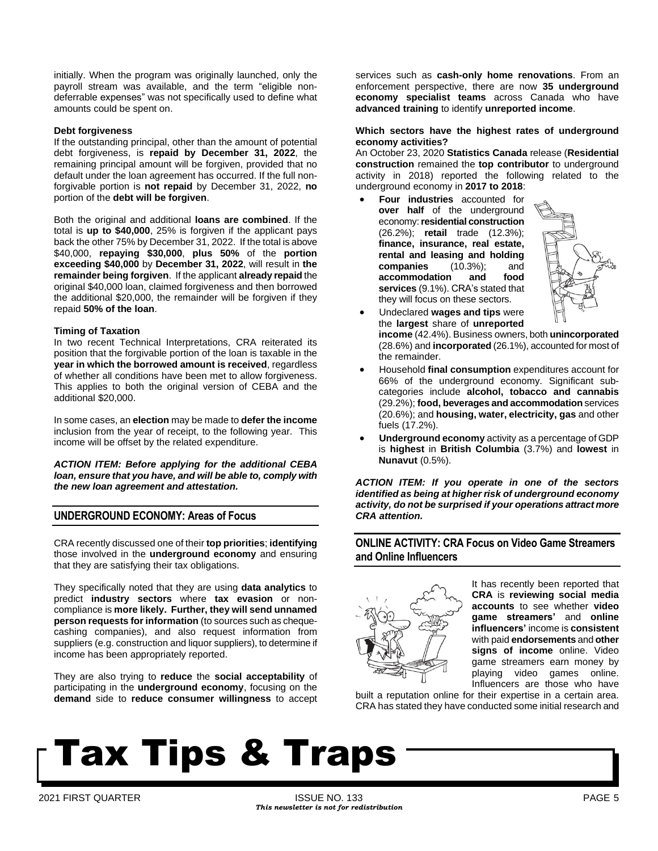initially. When the program was originally launched, only the payroll stream was available, and the term "eligible nondeferrable expenses" was not specifically used to define what amounts could be spent on.

#### **Debt forgiveness**

If the outstanding principal, other than the amount of potential debt forgiveness, is **repaid by December 31, 2022**, the remaining principal amount will be forgiven, provided that no default under the loan agreement has occurred. If the full nonforgivable portion is **not repaid** by December 31, 2022, **no** portion of the **debt will be forgiven**.

Both the original and additional **loans are combined**. If the total is **up to \$40,000**, 25% is forgiven if the applicant pays back the other 75% by December 31, 2022. If the total is above \$40,000, **repaying \$30,000**, **plus 50%** of the **portion exceeding \$40,000** by **December 31, 2022**, will result in **the remainder being forgiven**. If the applicant **already repaid** the original \$40,000 loan, claimed forgiveness and then borrowed the additional \$20,000, the remainder will be forgiven if they repaid **50% of the loan**.

#### **Timing of Taxation**

In two recent Technical Interpretations, CRA reiterated its position that the forgivable portion of the loan is taxable in the **year in which the borrowed amount is received**, regardless of whether all conditions have been met to allow forgiveness. This applies to both the original version of CEBA and the additional \$20,000.

In some cases, an **election** may be made to **defer the income** inclusion from the year of receipt, to the following year. This income will be offset by the related expenditure.

*ACTION ITEM: Before applying for the additional CEBA loan, ensure that you have, and will be able to, comply with the new loan agreement and attestation.*

## **UNDERGROUND ECONOMY: Areas of Focus**

CRA recently discussed one of their **top priorities**; **identifying** those involved in the **underground economy** and ensuring that they are satisfying their tax obligations.

They specifically noted that they are using **data analytics** to predict **industry sectors** where **tax evasion** or noncompliance is **more likely. Further, they will send unnamed person requests for information** (to sources such as chequecashing companies), and also request information from suppliers (e.g. construction and liquor suppliers), to determine if income has been appropriately reported.

They are also trying to **reduce** the **social acceptability** of participating in the **underground economy**, focusing on the **demand** side to **reduce consumer willingness** to accept services such as **cash-only home renovations**. From an enforcement perspective, there are now **35 underground economy specialist teams** across Canada who have **advanced training** to identify **unreported income**.

#### **Which sectors have the highest rates of underground economy activities?**

An October 23, 2020 **Statistics Canada** release (**[Residential](https://www150.statcan.gc.ca/n1/daily-quotidien/201023/dq201023a-eng.htm) [construction](https://www150.statcan.gc.ca/n1/daily-quotidien/201023/dq201023a-eng.htm)** remained the **top contributor** to underground [activity](https://www150.statcan.gc.ca/n1/daily-quotidien/201023/dq201023a-eng.htm) in 2018) reported the following related to the underground economy in **2017 to 2018**:

• **Four industries** accounted for **over half** of the underground economy:**residential construction** (26.2%); **retail** trade (12.3%); **finance, insurance, real estate, rental and leasing and holding companies** (10.3%); and **accommodation and food services** (9.1%). CRA's stated that they will focus on these sectors.



- Undeclared **wages and tips** were the **largest** share of **unreported income** (42.4%). Business owners, both **unincorporated** (28.6%) and **incorporated** (26.1%), accounted for most of the remainder.
- Household **final consumption** expenditures account for 66% of the underground economy. Significant subcategories include **alcohol, tobacco and cannabis** (29.2%); **food, beverages and accommodation** services (20.6%); and **housing, water, electricity, gas** and other fuels (17.2%).
- **Underground economy** activity as a percentage of GDP is **highest** in **British Columbia** (3.7%) and **lowest** in **Nunavut** (0.5%).

*ACTION ITEM: If you operate in one of the sectors identified as being at higher risk of underground economy activity, do not be surprised if your operations attract more CRA attention.* 

## **ONLINE ACTIVITY: CRA Focus on Video Game Streamers and Online Influencers**



It has recently been reported that **CRA** is **reviewing social media accounts** to see whether **video game streamers'** and **online influencers'** income is **consistent** with paid **endorsements** and **other signs of income** online. Video game streamers earn money by playing video games online. Influencers are those who have

built a reputation online for their expertise in a certain area. CRA has stated they have conducted some initial research and